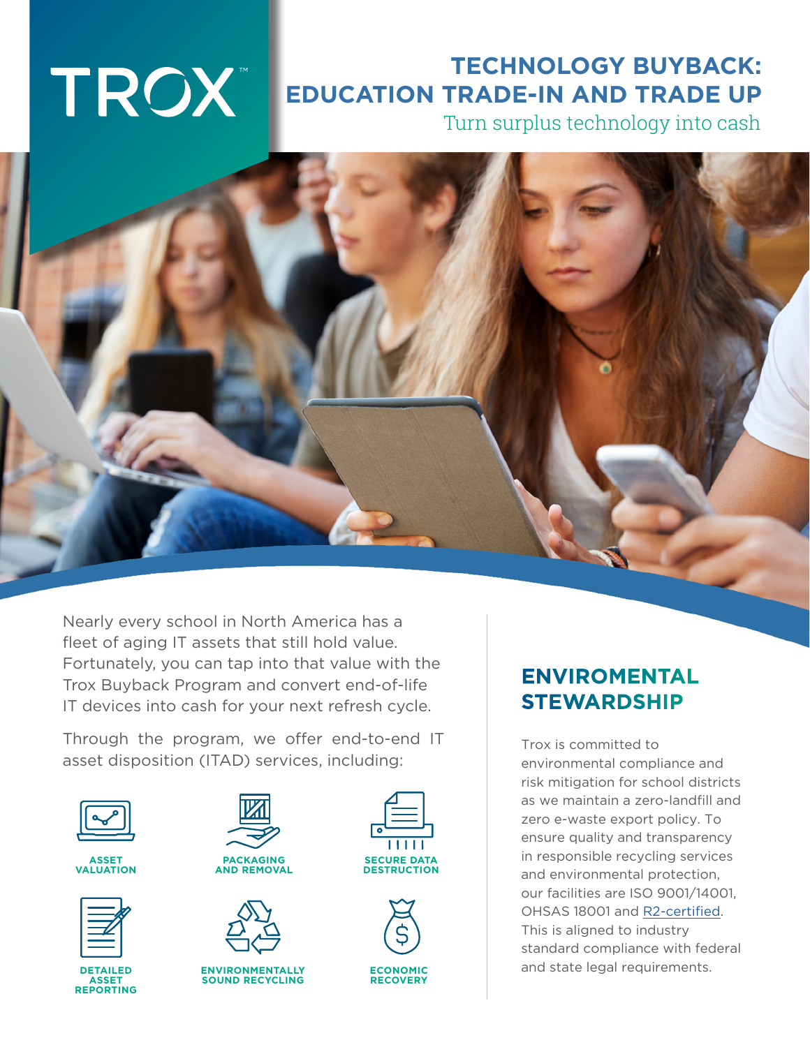# TROX"

## **TECHNOLOGY BUYBACK: EDUCATION TRADE-IN AND TRADE UP**

Turn surplus technology into cash

Nearly every school in North America has a fleet of aging IT assets that still hold value. Fortunately, you can tap into that value with the Trox Buyback Program and convert end-of-life IT devices into cash for your next refresh cycle.

Through the program, we offer end-to-end IT asset disposition (ITAD) services, including:



**ASSET VALUATION**



**DETAILED ASSET REPORTING**





**ENVIRONMENTALLY SOUND RECYCLING** 





#### **ENVIROMENTAL STEWARDSHIP**

Trox is committed to environmental compliance and risk mitigation for school districts as we maintain a zero-landfill and zero e-waste export policy. To ensure quality and transparency in responsible recycling services and environmental protection, our facilities are ISO 9001/14001, OHSAS 18001 and [R2-certified](https://sustainableelectronics.org/r2/r2-standard-development/). This is aligned to industry standard compliance with federal and state legal requirements.